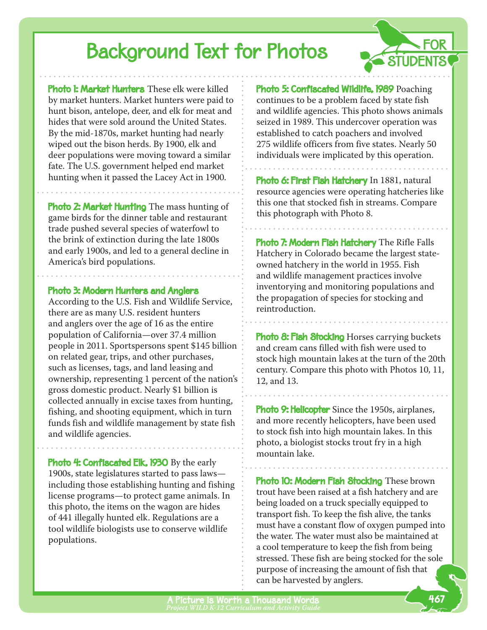Background Text for Photos

**Photo 1: Market Hunters** These elk were killed by market hunters. Market hunters were paid to hunt bison, antelope, deer, and elk for meat and hides that were sold around the United States. By the mid-1870s, market hunting had nearly wiped out the bison herds. By 1900, elk and deer populations were moving toward a similar fate. The U.S. government helped end market hunting when it passed the Lacey Act in 1900.

**Photo 2: Market Hunting** The mass hunting of game birds for the dinner table and restaurant trade pushed several species of waterfowl to the brink of extinction during the late 1800s and early 1900s, and led to a general decline in America's bird populations.

Photo 3: Modern Hunters and Anglers

According to the U.S. Fish and Wildlife Service, there are as many U.S. resident hunters and anglers over the age of 16 as the entire population of California —over 37.4 million people in 2011. Sportspersons spent \$145 billion on related gear, trips, and other purchases, such as licenses, tags, and land leasing and ownership, representing 1 percent of the nation's gross domestic product. Nearly \$1 billion is collected annually in excise taxes from hunting, fishing, and shooting equipment, which in turn funds fish and wildlife management by state fish and wildlife agencies.

**Photo 4: Confiscated Elk, 1930** By the early 1900s, state legislatures started to pass laws including those establishing hunting and fishing license programs—to protect game animals. In this photo, the items on the wagon are hides of 441 illegally hunted elk. Regulations are a tool wildlife biologists use to conserve wildlife populations.

Photo 5: Confiscated Wildlife, 1989 Poaching continues to be a problem faced by state fish and wildlife agencies. This photo shows animals seized in 1989. This undercover operation was established to catch poachers and involved 275 wildlife officers from five states. Nearly 50 individuals were implicated by this operation.

**FOR** 

STUDENTS

Photo 6: First Fish Hatchery In 1881, natural resource agencies were operating hatcheries like this one that stocked fish in streams. Compare this photograph with Photo 8.

Photo 7: Modern Fish Hatchery The Rifle Falls Hatchery in Colorado became the largest stateowned hatchery in the world in 1955. Fish and wildlife management practices involve inventorying and monitoring populations and the propagation of species for stocking and reintroduction.

**Photo 8: Fish Stocking** Horses carrying buckets and cream cans filled with fish were used to stock high mountain lakes at the turn of the 20th century. Compare this photo with Photos 10, 11, 12, and 13.

**Photo 9: Helicopter** Since the 1950s, airplanes, and more recently helicopters, have been used to stock fish into high mountain lakes. In this photo, a biologist stocks trout fry in a high mountain lake.

Photo IO: Modern Fish Stocking These brown trout have been raised at a fish hatchery and are being loaded on a truck specially equipped to transport fish. To keep the fish alive, the tanks must have a constant flow of oxygen pumped into the water. The water must also be maintained at a cool temperature to keep the fish from being stressed. These fish are being stocked for the sole purpose of increasing the amount of fish that can be harvested by anglers.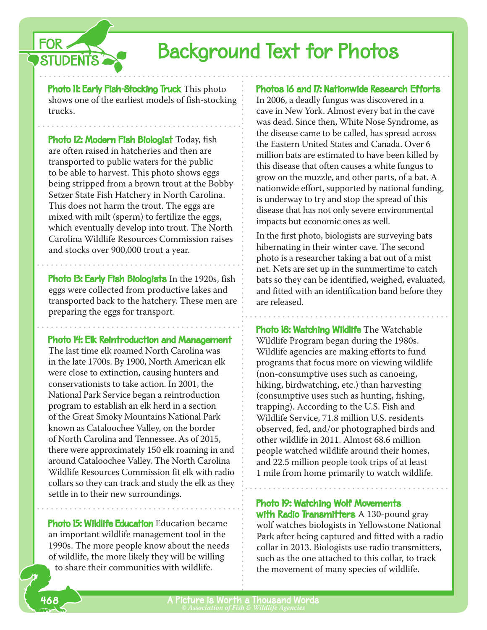

**Photo II: Early Fish-Stocking Truck** This photo shows one of the earliest models of fish-stocking trucks.

FOR

**STUDENT** 

Photo 12: Modern Fish Biologist Today, fish are often raised in hatcheries and then are transported to public waters for the public to be able to harvest. This photo shows eggs being stripped from a brown trout at the Bobby Setzer State Fish Hatchery in North Carolina. This does not harm the trout. The eggs are mixed with milt (sperm) to fertilize the eggs, which eventually develop into trout. The North Carolina Wildlife Resources Commission raises and stocks over 900,000 trout a year.

Photo B: Early Fish Biologists In the 1920s, fish eggs were collected from productive lakes and transported back to the hatchery. These men are preparing the eggs for transport.

Photo 14: Elk Reintroduction and Management

The last time elk roamed North Carolina was in the late 1700s. By 1900, North American elk were close to extinction, causing hunters and conservationists to take action. In 2001, the National Park Service began a reintroduction program to establish an elk herd in a section of the Great Smoky Mountains National Park known as Cataloochee Valley, on the border of North Carolina and Tennessee. As of 2015, there were approximately 150 elk roaming in and around Cataloochee Valley. The North Carolina Wildlife Resources Commission fit elk with radio collars so they can track and study the elk as they settle in to their new surroundings.

**Photo 15: Wildlife Education** Education became an important wildlife management tool in the 1990s. The more people know about the needs of wildlife, the more likely they will be willing to share their communities with wildlife.

## Photos 16 and 17: nationwide Research Efforts

In 2006, a deadly fungus was discovered in a cave in New York. Almost every bat in the cave was dead. Since then, White Nose Syndrome, as the disease came to be called, has spread across the Eastern United States and Canada. Over 6 million bats are estimated to have been killed by this disease that often causes a white fungus to grow on the muzzle, and other parts, of a bat. A nationwide effort, supported by national funding, is underway to try and stop the spread of this disease that has not only severe environmental impacts but economic ones as well.

In the first photo, biologists are surveying bats hibernating in their winter cave. The second photo is a researcher taking a bat out of a mist net. Nets are set up in the summertime to catch bats so they can be identified, weighed, evaluated, and fitted with an identification band before they are released.

**Photo 18: Watching Wildlife** The Watchable Wildlife Program began during the 1980s. Wildlife agencies are making efforts to fund programs that focus more on viewing wildlife (non-consumptive uses such as canoeing, hiking, birdwatching, etc.) than harvesting (consumptive uses such as hunting, fishing, trapping). According to the U.S. Fish and Wildlife Service, 71.8 million U.S. residents observed, fed, and/or photographed birds and other wildlife in 2011. Almost 68.6 million people watched wildlife around their homes, and 22.5 million people took trips of at least 1 mile from home primarily to watch wildlife.

Photo 19: Watching Wolf Movements with Radio Transmitters A 130-pound gray wolf watches biologists in Yellowstone National Park after being captured and fitted with a radio collar in 2013. Biologists use radio transmitters, such as the one attached to this collar, to track the movement of many species of wildlife.